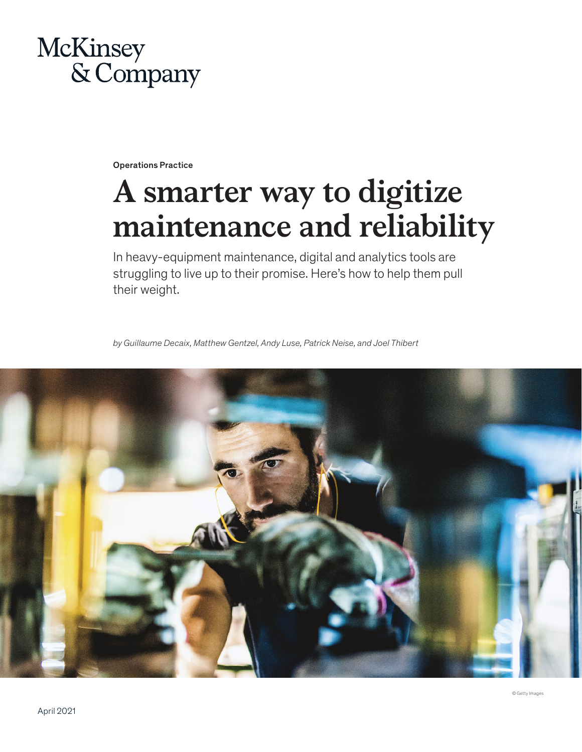

Operations Practice

# **A smarter way to digitize maintenance and reliability**

In heavy-equipment maintenance, digital and analytics tools are struggling to live up to their promise. Here's how to help them pull their weight.

*by Guillaume Decaix, Matthew Gentzel, Andy Luse, Patrick Neise, and Joel Thibert*

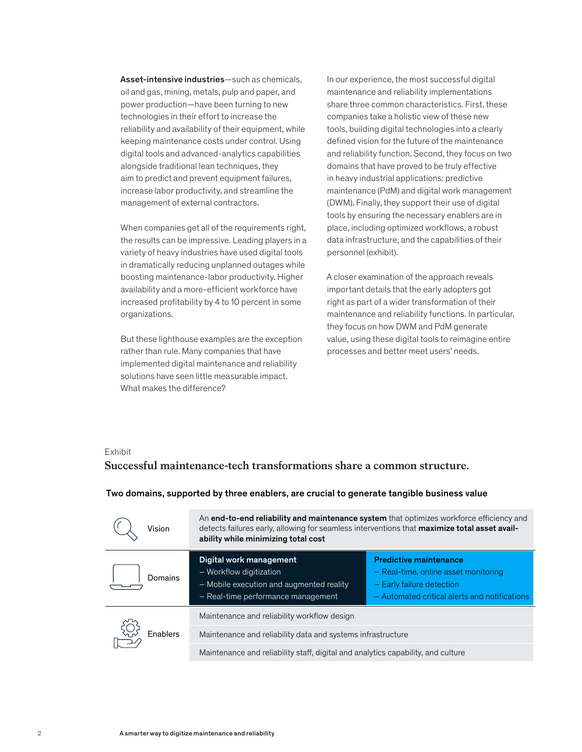Asset-intensive industries—such as chemicals, oil and gas, mining, metals, pulp and paper, and power production—have been turning to new technologies in their effort to increase the reliability and availability of their equipment, while keeping maintenance costs under control. Using digital tools and advanced-analytics capabilities alongside traditional lean techniques, they aim to predict and prevent equipment failures, increase labor productivity, and streamline the management of external contractors.

When companies get all of the requirements right, the results can be impressive. Leading players in a variety of heavy industries have used digital tools in dramatically reducing unplanned outages while boosting maintenance-labor productivity. Higher availability and a more-efficient workforce have increased profitability by 4 to 10 percent in some organizations.

But these lighthouse examples are the exception rather than rule. Many companies that have implemented digital maintenance and reliability solutions have seen little measurable impact. What makes the difference?

In our experience, the most successful digital maintenance and reliability implementations share three common characteristics. First, these companies take a holistic view of these new tools, building digital technologies into a clearly defined vision for the future of the maintenance and reliability function. Second, they focus on two domains that have proved to be truly effective in heavy industrial applications: predictive maintenance (PdM) and digital work management (DWM). Finally, they support their use of digital tools by ensuring the necessary enablers are in place, including optimized workflows, a robust data infrastructure, and the capabilities of their personnel (exhibit).

A closer examination of the approach reveals important details that the early adopters got right as part of a wider transformation of their maintenance and reliability functions. In particular, they focus on how DWM and PdM generate value, using these digital tools to reimagine entire processes and better meet users' needs.

#### Exhibit

## **Successful maintenance-tech transformations share a common structure.** Successful maintenance-tech transformations share a common structure.

| Vision   | An end-to-end reliability and maintenance system that optimizes workforce efficiency and<br>detects failures early, allowing for seamless interventions that maximize total asset avail-<br>ability while minimizing total cost |                                                                                                                                                     |
|----------|---------------------------------------------------------------------------------------------------------------------------------------------------------------------------------------------------------------------------------|-----------------------------------------------------------------------------------------------------------------------------------------------------|
| Domains  | Digital work management<br>- Workflow digitization<br>- Mobile execution and augmented reality<br>- Real-time performance management                                                                                            | <b>Predictive maintenance</b><br>- Real-time, online asset monitoring<br>- Early failure detection<br>- Automated critical alerts and notifications |
| Enablers | Maintenance and reliability workflow design                                                                                                                                                                                     |                                                                                                                                                     |
|          | Maintenance and reliability data and systems infrastructure                                                                                                                                                                     |                                                                                                                                                     |
|          | Maintenance and reliability staff, digital and analytics capability, and culture                                                                                                                                                |                                                                                                                                                     |

#### Two domains, supported by three enablers, are crucial to generate tangible business value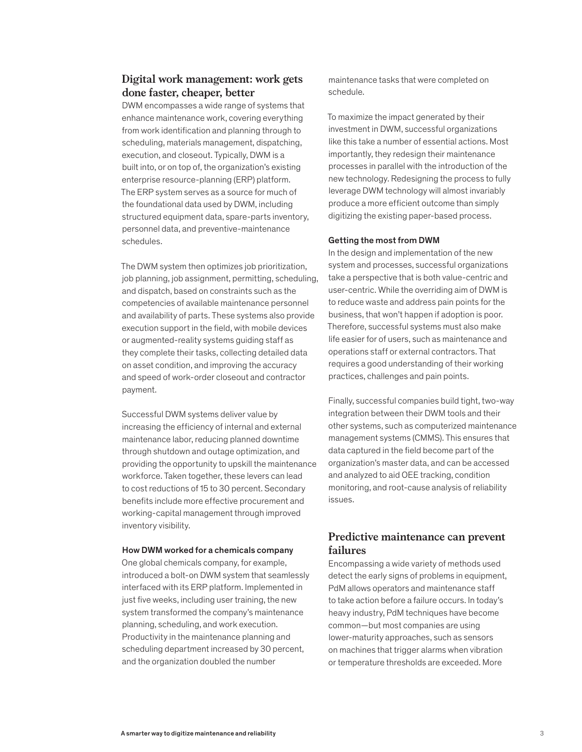## **Digital work management: work gets done faster, cheaper, better**

DWM encompasses a wide range of systems that enhance maintenance work, covering everything from work identification and planning through to scheduling, materials management, dispatching, execution, and closeout. Typically, DWM is a built into, or on top of, the organization's existing enterprise resource-planning (ERP) platform. The ERP system serves as a source for much of the foundational data used by DWM, including structured equipment data, spare-parts inventory, personnel data, and preventive-maintenance schedules.

The DWM system then optimizes job prioritization, job planning, job assignment, permitting, scheduling, and dispatch, based on constraints such as the competencies of available maintenance personnel and availability of parts. These systems also provide execution support in the field, with mobile devices or augmented-reality systems guiding staff as they complete their tasks, collecting detailed data on asset condition, and improving the accuracy and speed of work-order closeout and contractor payment.

Successful DWM systems deliver value by increasing the efficiency of internal and external maintenance labor, reducing planned downtime through shutdown and outage optimization, and providing the opportunity to upskill the maintenance workforce. Taken together, these levers can lead to cost reductions of 15 to 30 percent. Secondary benefits include more effective procurement and working-capital management through improved inventory visibility.

#### How DWM worked for a chemicals company

One global chemicals company, for example, introduced a bolt-on DWM system that seamlessly interfaced with its ERP platform. Implemented in just five weeks, including user training, the new system transformed the company's maintenance planning, scheduling, and work execution. Productivity in the maintenance planning and scheduling department increased by 30 percent, and the organization doubled the number

maintenance tasks that were completed on schedule.

To maximize the impact generated by their investment in DWM, successful organizations like this take a number of essential actions. Most importantly, they redesign their maintenance processes in parallel with the introduction of the new technology. Redesigning the process to fully leverage DWM technology will almost invariably produce a more efficient outcome than simply digitizing the existing paper-based process.

#### Getting the most from DWM

In the design and implementation of the new system and processes, successful organizations take a perspective that is both value-centric and user-centric. While the overriding aim of DWM is to reduce waste and address pain points for the business, that won't happen if adoption is poor. Therefore, successful systems must also make life easier for of users, such as maintenance and operations staff or external contractors. That requires a good understanding of their working practices, challenges and pain points.

Finally, successful companies build tight, two-way integration between their DWM tools and their other systems, such as computerized maintenance management systems (CMMS). This ensures that data captured in the field become part of the organization's master data, and can be accessed and analyzed to aid OEE tracking, condition monitoring, and root-cause analysis of reliability issues.

## **Predictive maintenance can prevent failures**

Encompassing a wide variety of methods used detect the early signs of problems in equipment, PdM allows operators and maintenance staff to take action before a failure occurs. In today's heavy industry, PdM techniques have become common—but most companies are using lower-maturity approaches, such as sensors on machines that trigger alarms when vibration or temperature thresholds are exceeded. More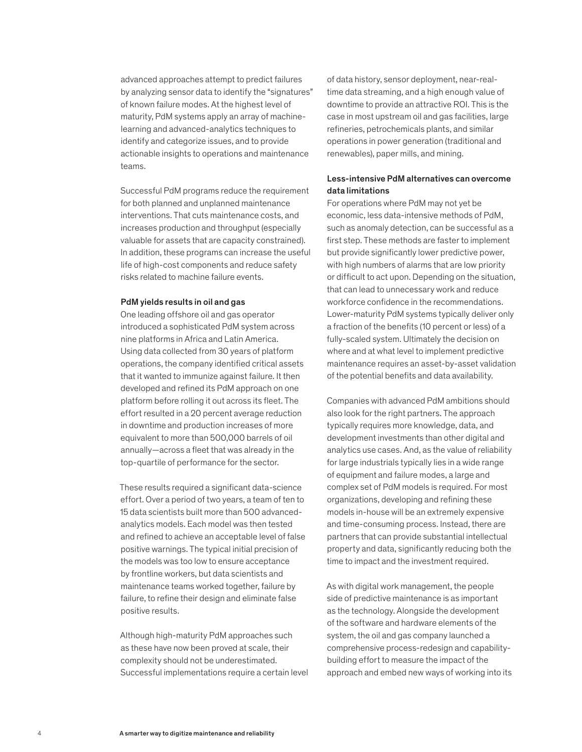advanced approaches attempt to predict failures by analyzing sensor data to identify the "signatures" of known failure modes. At the highest level of maturity, PdM systems apply an array of machinelearning and advanced-analytics techniques to identify and categorize issues, and to provide actionable insights to operations and maintenance teams.

Successful PdM programs reduce the requirement for both planned and unplanned maintenance interventions. That cuts maintenance costs, and increases production and throughput (especially valuable for assets that are capacity constrained). In addition, these programs can increase the useful life of high-cost components and reduce safety risks related to machine failure events.

#### PdM yields results in oil and gas

One leading offshore oil and gas operator introduced a sophisticated PdM system across nine platforms in Africa and Latin America. Using data collected from 30 years of platform operations, the company identified critical assets that it wanted to immunize against failure. It then developed and refined its PdM approach on one platform before rolling it out across its fleet. The effort resulted in a 20 percent average reduction in downtime and production increases of more equivalent to more than 500,000 barrels of oil annually—across a fleet that was already in the top-quartile of performance for the sector.

These results required a significant data-science effort. Over a period of two years, a team of ten to 15 data scientists built more than 500 advancedanalytics models. Each model was then tested and refined to achieve an acceptable level of false positive warnings. The typical initial precision of the models was too low to ensure acceptance by frontline workers, but data scientists and maintenance teams worked together, failure by failure, to refine their design and eliminate false positive results.

Although high-maturity PdM approaches such as these have now been proved at scale, their complexity should not be underestimated. Successful implementations require a certain level

of data history, sensor deployment, near-realtime data streaming, and a high enough value of downtime to provide an attractive ROI. This is the case in most upstream oil and gas facilities, large refineries, petrochemicals plants, and similar operations in power generation (traditional and renewables), paper mills, and mining.

### Less-intensive PdM alternatives can overcome data limitations

For operations where PdM may not yet be economic, less data-intensive methods of PdM, such as anomaly detection, can be successful as a first step. These methods are faster to implement but provide significantly lower predictive power, with high numbers of alarms that are low priority or difficult to act upon. Depending on the situation, that can lead to unnecessary work and reduce workforce confidence in the recommendations. Lower-maturity PdM systems typically deliver only a fraction of the benefits (10 percent or less) of a fully-scaled system. Ultimately the decision on where and at what level to implement predictive maintenance requires an asset-by-asset validation of the potential benefits and data availability.

Companies with advanced PdM ambitions should also look for the right partners. The approach typically requires more knowledge, data, and development investments than other digital and analytics use cases. And, as the value of reliability for large industrials typically lies in a wide range of equipment and failure modes, a large and complex set of PdM models is required. For most organizations, developing and refining these models in-house will be an extremely expensive and time-consuming process. Instead, there are partners that can provide substantial intellectual property and data, significantly reducing both the time to impact and the investment required.

As with digital work management, the people side of predictive maintenance is as important as the technology. Alongside the development of the software and hardware elements of the system, the oil and gas company launched a comprehensive process-redesign and capabilitybuilding effort to measure the impact of the approach and embed new ways of working into its